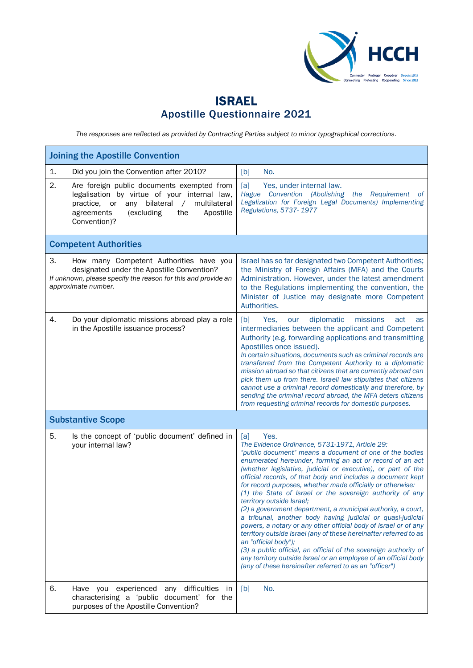

## ISRAEL Apostille Questionnaire 2021

*The responses are reflected as provided by Contracting Parties subject to minor typographical corrections.*

| <b>Joining the Apostille Convention</b>                                                                                                                                                                                               |                                                                                                                                                                                                                                                                                                                                                                                                                                                                                                                                                                                                                                                                                                                                                                                                                                                                                                                                                                            |  |  |
|---------------------------------------------------------------------------------------------------------------------------------------------------------------------------------------------------------------------------------------|----------------------------------------------------------------------------------------------------------------------------------------------------------------------------------------------------------------------------------------------------------------------------------------------------------------------------------------------------------------------------------------------------------------------------------------------------------------------------------------------------------------------------------------------------------------------------------------------------------------------------------------------------------------------------------------------------------------------------------------------------------------------------------------------------------------------------------------------------------------------------------------------------------------------------------------------------------------------------|--|--|
| 1.<br>Did you join the Convention after 2010?                                                                                                                                                                                         | [b]<br>No.                                                                                                                                                                                                                                                                                                                                                                                                                                                                                                                                                                                                                                                                                                                                                                                                                                                                                                                                                                 |  |  |
| 2.<br>Are foreign public documents exempted from<br>legalisation by virtue of your internal law,<br>multilateral<br>bilateral<br>practice.<br>or<br>any<br>$\sqrt{2}$<br>(excluding<br>the<br>Apostille<br>agreements<br>Convention)? | [a]<br>Yes, under internal law.<br>Hague Convention (Abolishing the Requirement<br>- of<br>Legalization for Foreign Legal Documents) Implementing<br>Regulations, 5737-1977                                                                                                                                                                                                                                                                                                                                                                                                                                                                                                                                                                                                                                                                                                                                                                                                |  |  |
| <b>Competent Authorities</b>                                                                                                                                                                                                          |                                                                                                                                                                                                                                                                                                                                                                                                                                                                                                                                                                                                                                                                                                                                                                                                                                                                                                                                                                            |  |  |
| 3.<br>How many Competent Authorities have you<br>designated under the Apostille Convention?<br>If unknown, please specify the reason for this and provide an<br>approximate number.                                                   | Israel has so far designated two Competent Authorities;<br>the Ministry of Foreign Affairs (MFA) and the Courts<br>Administration. However, under the latest amendment<br>to the Regulations implementing the convention, the<br>Minister of Justice may designate more Competent<br>Authorities.                                                                                                                                                                                                                                                                                                                                                                                                                                                                                                                                                                                                                                                                          |  |  |
| 4.<br>Do your diplomatic missions abroad play a role<br>in the Apostille issuance process?                                                                                                                                            | diplomatic<br>[b]<br>missions<br>Yes.<br>our<br>act<br>as<br>intermediaries between the applicant and Competent<br>Authority (e.g. forwarding applications and transmitting<br>Apostilles once issued).<br>In certain situations, documents such as criminal records are<br>transferred from the Competent Authority to a diplomatic<br>mission abroad so that citizens that are currently abroad can<br>pick them up from there. Israeli law stipulates that citizens<br>cannot use a criminal record domestically and therefore, by<br>sending the criminal record abroad, the MFA deters citizens<br>from requesting criminal records for domestic purposes.                                                                                                                                                                                                                                                                                                            |  |  |
| <b>Substantive Scope</b>                                                                                                                                                                                                              |                                                                                                                                                                                                                                                                                                                                                                                                                                                                                                                                                                                                                                                                                                                                                                                                                                                                                                                                                                            |  |  |
| 5.<br>Is the concept of 'public document' defined in<br>your internal law?                                                                                                                                                            | Yes.<br>[a]<br>The Evidence Ordinance, 5731-1971, Article 29:<br>"public document" means a document of one of the bodies<br>enumerated hereunder, forming an act or record of an act<br>(whether legislative, judicial or executive), or part of the<br>official records, of that body and includes a document kept<br>for record purposes, whether made officially or otherwise:<br>(1) the State of Israel or the sovereign authority of any<br>territory outside Israel;<br>(2) a government department, a municipal authority, a court,<br>a tribunal, another body having judicial or quasi-judicial<br>powers, a notary or any other official body of Israel or of any<br>territory outside Israel (any of these hereinafter referred to as<br>an "official body");<br>(3) a public official, an official of the sovereign authority of<br>any territory outside Israel or an employee of an official body<br>(any of these hereinafter referred to as an "officer") |  |  |
| 6.<br>Have you experienced any difficulties<br>in<br>characterising a 'public document' for the<br>purposes of the Apostille Convention?                                                                                              | [b]<br>No.                                                                                                                                                                                                                                                                                                                                                                                                                                                                                                                                                                                                                                                                                                                                                                                                                                                                                                                                                                 |  |  |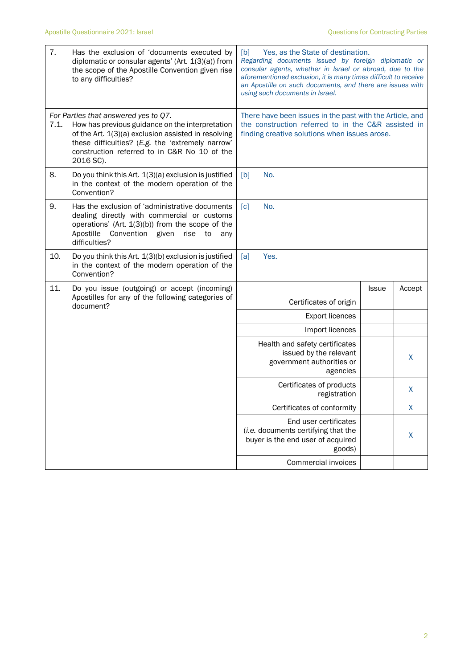| 7.   | Has the exclusion of 'documents executed by<br>diplomatic or consular agents' (Art. 1(3)(a)) from<br>the scope of the Apostille Convention given rise<br>to any difficulties?                                                                                   | Yes, as the State of destination.<br>[b]<br>Regarding documents issued by foreign diplomatic or<br>consular agents, whether in Israel or abroad, due to the<br>aforementioned exclusion, it is many times difficult to receive<br>an Apostille on such documents, and there are issues with<br>using such documents in Israel. |              |         |  |
|------|-----------------------------------------------------------------------------------------------------------------------------------------------------------------------------------------------------------------------------------------------------------------|--------------------------------------------------------------------------------------------------------------------------------------------------------------------------------------------------------------------------------------------------------------------------------------------------------------------------------|--------------|---------|--|
| 7.1. | For Parties that answered yes to Q7.<br>How has previous guidance on the interpretation<br>of the Art. 1(3)(a) exclusion assisted in resolving<br>these difficulties? (E.g. the 'extremely narrow'<br>construction referred to in C&R No 10 of the<br>2016 SC). | There have been issues in the past with the Article, and<br>the construction referred to in the C&R assisted in<br>finding creative solutions when issues arose.                                                                                                                                                               |              |         |  |
| 8.   | Do you think this Art. 1(3)(a) exclusion is justified<br>in the context of the modern operation of the<br>Convention?                                                                                                                                           | [b]<br>No.                                                                                                                                                                                                                                                                                                                     |              |         |  |
| 9.   | Has the exclusion of 'administrative documents<br>dealing directly with commercial or customs<br>operations' (Art. $1(3)(b)$ ) from the scope of the<br>Apostille<br>Convention given<br>rise<br>to<br>any<br>difficulties?                                     | No.<br>$\lceil c \rceil$                                                                                                                                                                                                                                                                                                       |              |         |  |
| 10.  | Do you think this Art. 1(3)(b) exclusion is justified<br>in the context of the modern operation of the<br>Convention?                                                                                                                                           | Yes.<br>[a]                                                                                                                                                                                                                                                                                                                    |              |         |  |
| 11.  | Do you issue (outgoing) or accept (incoming)                                                                                                                                                                                                                    |                                                                                                                                                                                                                                                                                                                                | <b>Issue</b> | Accept  |  |
|      | Apostilles for any of the following categories of<br>document?                                                                                                                                                                                                  | Certificates of origin                                                                                                                                                                                                                                                                                                         |              |         |  |
|      |                                                                                                                                                                                                                                                                 | <b>Export licences</b>                                                                                                                                                                                                                                                                                                         |              |         |  |
|      |                                                                                                                                                                                                                                                                 | Import licences                                                                                                                                                                                                                                                                                                                |              |         |  |
|      |                                                                                                                                                                                                                                                                 | Health and safety certificates<br>issued by the relevant<br>government authorities or<br>agencies                                                                                                                                                                                                                              |              | X       |  |
|      |                                                                                                                                                                                                                                                                 | Certificates of products<br>registration                                                                                                                                                                                                                                                                                       |              | $\sf X$ |  |
|      |                                                                                                                                                                                                                                                                 | Certificates of conformity                                                                                                                                                                                                                                                                                                     |              | X       |  |
|      |                                                                                                                                                                                                                                                                 | End user certificates<br>(i.e. documents certifying that the<br>buyer is the end user of acquired<br>goods)                                                                                                                                                                                                                    |              | $\sf X$ |  |
|      |                                                                                                                                                                                                                                                                 | Commercial invoices                                                                                                                                                                                                                                                                                                            |              |         |  |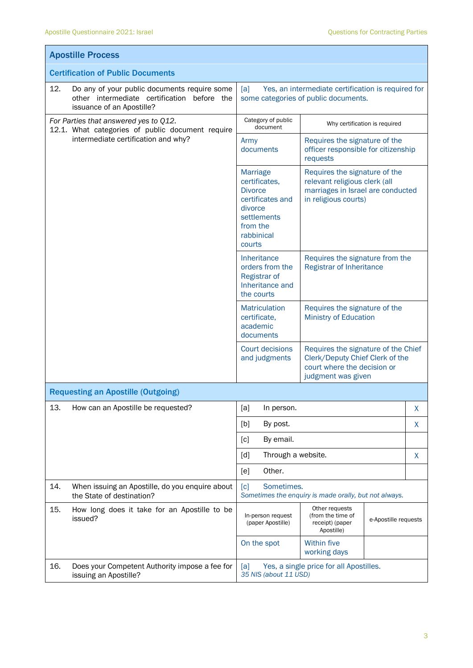$\mathbf{r}$ 

| <b>Apostille Process</b>                                                                                                        |                                                                                                                                                                                                                                                                     |                                                                                              |                               |  |  |
|---------------------------------------------------------------------------------------------------------------------------------|---------------------------------------------------------------------------------------------------------------------------------------------------------------------------------------------------------------------------------------------------------------------|----------------------------------------------------------------------------------------------|-------------------------------|--|--|
| <b>Certification of Public Documents</b>                                                                                        |                                                                                                                                                                                                                                                                     |                                                                                              |                               |  |  |
| 12.<br>Do any of your public documents require some<br>other intermediate certification before the<br>issuance of an Apostille? | [a]<br>Yes, an intermediate certification is required for<br>some categories of public documents.                                                                                                                                                                   |                                                                                              |                               |  |  |
| For Parties that answered yes to Q12.<br>12.1. What categories of public document require                                       | Category of public<br>document                                                                                                                                                                                                                                      |                                                                                              | Why certification is required |  |  |
| intermediate certification and why?                                                                                             | Army<br>documents                                                                                                                                                                                                                                                   | Requires the signature of the<br>officer responsible for citizenship<br>requests             |                               |  |  |
|                                                                                                                                 | Requires the signature of the<br><b>Marriage</b><br>certificates,<br>relevant religious clerk (all<br>marriages in Israel are conducted<br><b>Divorce</b><br>certificates and<br>in religious courts)<br>divorce<br>settlements<br>from the<br>rabbinical<br>courts |                                                                                              |                               |  |  |
|                                                                                                                                 | <b>Inheritance</b><br>Requires the signature from the<br>orders from the<br>Registrar of Inheritance<br><b>Registrar of</b><br>Inheritance and<br>the courts                                                                                                        |                                                                                              |                               |  |  |
|                                                                                                                                 | <b>Matriculation</b><br>certificate,<br>academic<br>documents                                                                                                                                                                                                       | Requires the signature of the<br><b>Ministry of Education</b>                                |                               |  |  |
|                                                                                                                                 | <b>Court decisions</b><br>Requires the signature of the Chief<br>and judgments<br>Clerk/Deputy Chief Clerk of the<br>court where the decision or<br>judgment was given                                                                                              |                                                                                              |                               |  |  |
| <b>Requesting an Apostille (Outgoing)</b>                                                                                       |                                                                                                                                                                                                                                                                     |                                                                                              |                               |  |  |
| 13.<br>How can an Apostille be requested?                                                                                       | [a]<br>In person.                                                                                                                                                                                                                                                   |                                                                                              | X                             |  |  |
|                                                                                                                                 | [b]<br>By post.                                                                                                                                                                                                                                                     |                                                                                              | X                             |  |  |
|                                                                                                                                 | By email.<br>[c]                                                                                                                                                                                                                                                    |                                                                                              |                               |  |  |
|                                                                                                                                 | Through a website.<br>[d]                                                                                                                                                                                                                                           | X                                                                                            |                               |  |  |
|                                                                                                                                 | Other.<br>[e]                                                                                                                                                                                                                                                       |                                                                                              |                               |  |  |
| 14.<br>When issuing an Apostille, do you enquire about<br>the State of destination?                                             | Sometimes.<br>$\lceil c \rceil$                                                                                                                                                                                                                                     | Sometimes the enquiry is made orally, but not always.                                        |                               |  |  |
| 15.<br>How long does it take for an Apostille to be<br>issued?                                                                  | In-person request<br>(paper Apostille)                                                                                                                                                                                                                              | Other requests<br>(from the time of<br>e-Apostille requests<br>receipt) (paper<br>Apostille) |                               |  |  |
|                                                                                                                                 | On the spot                                                                                                                                                                                                                                                         | <b>Within five</b><br>working days                                                           |                               |  |  |
| 16.<br>Does your Competent Authority impose a fee for<br>issuing an Apostille?                                                  | Yes, a single price for all Apostilles.<br>[a]<br>35 NIS (about 11 USD)                                                                                                                                                                                             |                                                                                              |                               |  |  |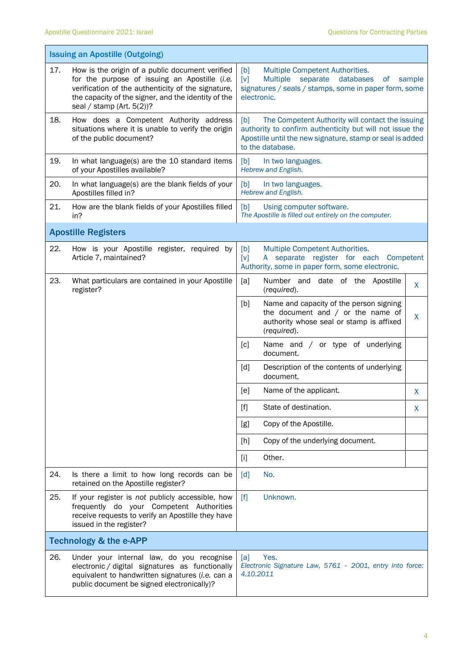|                                   | <b>Issuing an Apostille (Outgoing)</b>                                                                                                                                                                                                        |                                                                                                                                                                                                      |  |  |  |
|-----------------------------------|-----------------------------------------------------------------------------------------------------------------------------------------------------------------------------------------------------------------------------------------------|------------------------------------------------------------------------------------------------------------------------------------------------------------------------------------------------------|--|--|--|
| 17.                               | How is the origin of a public document verified<br>for the purpose of issuing an Apostille (i.e.<br>verification of the authenticity of the signature,<br>the capacity of the signer, and the identity of the<br>seal / stamp (Art. $5(2)$ )? | Multiple Competent Authorities.<br>[b]<br><b>Multiple</b><br>separate databases<br>[v]<br>of<br>sample<br>signatures / seals / stamps, some in paper form, some<br>electronic.                       |  |  |  |
| 18.                               | How does a Competent Authority address<br>situations where it is unable to verify the origin<br>of the public document?                                                                                                                       | The Competent Authority will contact the issuing<br>[b]<br>authority to confirm authenticity but will not issue the<br>Apostille until the new signature, stamp or seal is added<br>to the database. |  |  |  |
| 19.                               | In what language(s) are the 10 standard items<br>of your Apostilles available?                                                                                                                                                                | [b]<br>In two languages.<br>Hebrew and English.                                                                                                                                                      |  |  |  |
| 20.                               | In what language(s) are the blank fields of your<br>Apostilles filled in?                                                                                                                                                                     | [b]<br>In two languages.<br>Hebrew and English.                                                                                                                                                      |  |  |  |
| 21.                               | How are the blank fields of your Apostilles filled<br>in?                                                                                                                                                                                     | [b]<br>Using computer software.<br>The Apostille is filled out entirely on the computer.                                                                                                             |  |  |  |
|                                   | <b>Apostille Registers</b>                                                                                                                                                                                                                    |                                                                                                                                                                                                      |  |  |  |
| 22.                               | How is your Apostille register, required by<br>Article 7, maintained?                                                                                                                                                                         | Multiple Competent Authorities.<br>[b]<br>A separate register for each Competent<br>[v]<br>Authority, some in paper form, some electronic.                                                           |  |  |  |
| 23.                               | What particulars are contained in your Apostille<br>register?                                                                                                                                                                                 | [a]<br>Number and date of the Apostille<br>X<br>(required).                                                                                                                                          |  |  |  |
|                                   |                                                                                                                                                                                                                                               | Name and capacity of the person signing<br>[b]<br>the document and $/$ or the name of<br>X<br>authority whose seal or stamp is affixed<br>(required).                                                |  |  |  |
|                                   |                                                                                                                                                                                                                                               | Name and / or type of underlying<br>[c]<br>document.                                                                                                                                                 |  |  |  |
|                                   |                                                                                                                                                                                                                                               | Description of the contents of underlying<br>[d]<br>document.                                                                                                                                        |  |  |  |
|                                   |                                                                                                                                                                                                                                               | [e]<br>Name of the applicant.<br>X                                                                                                                                                                   |  |  |  |
|                                   |                                                                                                                                                                                                                                               | State of destination.<br>$[f]$<br>X                                                                                                                                                                  |  |  |  |
|                                   |                                                                                                                                                                                                                                               | Copy of the Apostille.<br>[g]                                                                                                                                                                        |  |  |  |
|                                   |                                                                                                                                                                                                                                               | Copy of the underlying document.<br>[h]                                                                                                                                                              |  |  |  |
|                                   |                                                                                                                                                                                                                                               | Other.<br>$[1]$                                                                                                                                                                                      |  |  |  |
| 24.                               | Is there a limit to how long records can be<br>retained on the Apostille register?                                                                                                                                                            | [d]<br>No.                                                                                                                                                                                           |  |  |  |
| 25.                               | If your register is not publicly accessible, how<br>frequently do your Competent Authorities<br>receive requests to verify an Apostille they have<br>issued in the register?                                                                  | [f]<br>Unknown.                                                                                                                                                                                      |  |  |  |
| <b>Technology &amp; the e-APP</b> |                                                                                                                                                                                                                                               |                                                                                                                                                                                                      |  |  |  |
| 26.                               | Under your internal law, do you recognise<br>electronic / digital signatures as functionally<br>equivalent to handwritten signatures (i.e. can a<br>public document be signed electronically)?                                                | Yes.<br>[a]<br>Electronic Signature Law, 5761 - 2001, entry into force:<br>4.10.2011                                                                                                                 |  |  |  |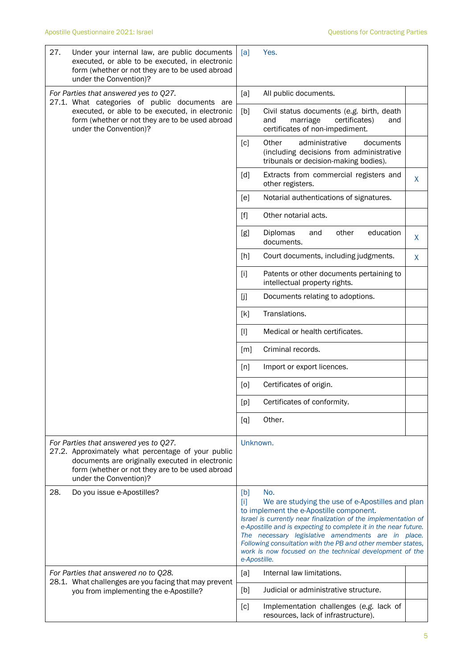| 27. | Under your internal law, are public documents<br>executed, or able to be executed, in electronic<br>form (whether or not they are to be used abroad<br>under the Convention)?                                               | [a]                                                                                                                                                                                                                                                                                                                                                                                                                                                     | Yes.                                                                                                                      |   |
|-----|-----------------------------------------------------------------------------------------------------------------------------------------------------------------------------------------------------------------------------|---------------------------------------------------------------------------------------------------------------------------------------------------------------------------------------------------------------------------------------------------------------------------------------------------------------------------------------------------------------------------------------------------------------------------------------------------------|---------------------------------------------------------------------------------------------------------------------------|---|
|     | For Parties that answered yes to Q27.<br>27.1. What categories of public documents are                                                                                                                                      | [a]                                                                                                                                                                                                                                                                                                                                                                                                                                                     | All public documents.                                                                                                     |   |
|     | executed, or able to be executed, in electronic<br>form (whether or not they are to be used abroad<br>under the Convention)?                                                                                                | [b]                                                                                                                                                                                                                                                                                                                                                                                                                                                     | Civil status documents (e.g. birth, death<br>and<br>marriage<br>certificates)<br>and<br>certificates of non-impediment.   |   |
|     |                                                                                                                                                                                                                             | [c]                                                                                                                                                                                                                                                                                                                                                                                                                                                     | Other<br>administrative<br>documents<br>(including decisions from administrative<br>tribunals or decision-making bodies). |   |
|     |                                                                                                                                                                                                                             | [d]                                                                                                                                                                                                                                                                                                                                                                                                                                                     | Extracts from commercial registers and<br>other registers.                                                                | X |
|     |                                                                                                                                                                                                                             | [e]                                                                                                                                                                                                                                                                                                                                                                                                                                                     | Notarial authentications of signatures.                                                                                   |   |
|     |                                                                                                                                                                                                                             | $[f]$                                                                                                                                                                                                                                                                                                                                                                                                                                                   | Other notarial acts.                                                                                                      |   |
|     |                                                                                                                                                                                                                             | [g]                                                                                                                                                                                                                                                                                                                                                                                                                                                     | education<br>Diplomas<br>other<br>and<br>documents.                                                                       | X |
|     |                                                                                                                                                                                                                             | [h]                                                                                                                                                                                                                                                                                                                                                                                                                                                     | Court documents, including judgments.                                                                                     | X |
|     |                                                                                                                                                                                                                             | $[1]$                                                                                                                                                                                                                                                                                                                                                                                                                                                   | Patents or other documents pertaining to<br>intellectual property rights.                                                 |   |
|     |                                                                                                                                                                                                                             | []                                                                                                                                                                                                                                                                                                                                                                                                                                                      | Documents relating to adoptions.                                                                                          |   |
|     |                                                                                                                                                                                                                             | [k]                                                                                                                                                                                                                                                                                                                                                                                                                                                     | Translations.                                                                                                             |   |
|     |                                                                                                                                                                                                                             | $[1]$                                                                                                                                                                                                                                                                                                                                                                                                                                                   | Medical or health certificates.                                                                                           |   |
|     |                                                                                                                                                                                                                             | [m]                                                                                                                                                                                                                                                                                                                                                                                                                                                     | Criminal records.                                                                                                         |   |
|     |                                                                                                                                                                                                                             | [n]                                                                                                                                                                                                                                                                                                                                                                                                                                                     | Import or export licences.                                                                                                |   |
|     |                                                                                                                                                                                                                             | [0]                                                                                                                                                                                                                                                                                                                                                                                                                                                     | Certificates of origin.                                                                                                   |   |
|     |                                                                                                                                                                                                                             | [p]                                                                                                                                                                                                                                                                                                                                                                                                                                                     | Certificates of conformity.                                                                                               |   |
|     |                                                                                                                                                                                                                             | [q]                                                                                                                                                                                                                                                                                                                                                                                                                                                     | Other.                                                                                                                    |   |
|     | For Parties that answered yes to Q27.<br>27.2. Approximately what percentage of your public<br>documents are originally executed in electronic<br>form (whether or not they are to be used abroad<br>under the Convention)? | Unknown.                                                                                                                                                                                                                                                                                                                                                                                                                                                |                                                                                                                           |   |
| 28. | Do you issue e-Apostilles?                                                                                                                                                                                                  | No.<br>[b]<br>$[1]$<br>We are studying the use of e-Apostilles and plan<br>to implement the e-Apostille component.<br>Israel is currently near finalization of the implementation of<br>e-Apostille and is expecting to complete it in the near future.<br>The necessary legislative amendments are in place.<br>Following consultation with the PB and other member states,<br>work is now focused on the technical development of the<br>e-Apostille. |                                                                                                                           |   |
|     | For Parties that answered no to Q28.<br>28.1. What challenges are you facing that may prevent<br>you from implementing the e-Apostille?                                                                                     | [a]                                                                                                                                                                                                                                                                                                                                                                                                                                                     | Internal law limitations.                                                                                                 |   |
|     |                                                                                                                                                                                                                             | [b]                                                                                                                                                                                                                                                                                                                                                                                                                                                     | Judicial or administrative structure.                                                                                     |   |
|     |                                                                                                                                                                                                                             | [c]                                                                                                                                                                                                                                                                                                                                                                                                                                                     | Implementation challenges (e.g. lack of<br>resources, lack of infrastructure).                                            |   |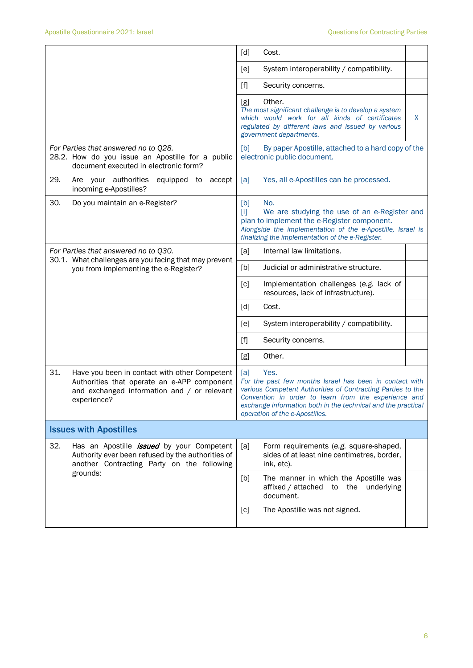|                                                                                                                                                                   | [d]<br>Cost.                                                                                                                                                                                                                                                                                    |  |  |
|-------------------------------------------------------------------------------------------------------------------------------------------------------------------|-------------------------------------------------------------------------------------------------------------------------------------------------------------------------------------------------------------------------------------------------------------------------------------------------|--|--|
|                                                                                                                                                                   | System interoperability / compatibility.<br>[e]                                                                                                                                                                                                                                                 |  |  |
|                                                                                                                                                                   | $[f]$<br>Security concerns.                                                                                                                                                                                                                                                                     |  |  |
|                                                                                                                                                                   | Other.<br>[g]<br>The most significant challenge is to develop a system<br>which would work for all kinds of certificates<br>X.<br>regulated by different laws and issued by various<br>government departments.                                                                                  |  |  |
| For Parties that answered no to Q28.<br>28.2. How do you issue an Apostille for a public<br>document executed in electronic form?                                 | [b]<br>By paper Apostille, attached to a hard copy of the<br>electronic public document.                                                                                                                                                                                                        |  |  |
| 29.<br>Are your authorities<br>equipped to<br>accept<br>incoming e-Apostilles?                                                                                    | [a]<br>Yes, all e-Apostilles can be processed.                                                                                                                                                                                                                                                  |  |  |
| 30.<br>Do you maintain an e-Register?                                                                                                                             | No.<br>[b]<br>Π<br>We are studying the use of an e-Register and<br>plan to implement the e-Register component.<br>Alongside the implementation of the e-Apostille, Israel is<br>finalizing the implementation of the e-Register.                                                                |  |  |
| For Parties that answered no to Q30.                                                                                                                              | Internal law limitations.<br>[a]                                                                                                                                                                                                                                                                |  |  |
| 30.1. What challenges are you facing that may prevent<br>you from implementing the e-Register?                                                                    | [b]<br>Judicial or administrative structure.                                                                                                                                                                                                                                                    |  |  |
|                                                                                                                                                                   | Implementation challenges (e.g. lack of<br>[c]<br>resources, lack of infrastructure).                                                                                                                                                                                                           |  |  |
|                                                                                                                                                                   | [d]<br>Cost.                                                                                                                                                                                                                                                                                    |  |  |
|                                                                                                                                                                   | System interoperability / compatibility.<br>[e]                                                                                                                                                                                                                                                 |  |  |
|                                                                                                                                                                   | $[f]$<br>Security concerns.                                                                                                                                                                                                                                                                     |  |  |
|                                                                                                                                                                   | Other.<br>[g]                                                                                                                                                                                                                                                                                   |  |  |
| 31.<br>Have you been in contact with other Competent<br>Authorities that operate an e-APP component<br>and exchanged information and / or relevant<br>experience? | Yes.<br>[a]<br>For the past few months Israel has been in contact with<br>various Competent Authorities of Contracting Parties to the<br>Convention in order to learn from the experience and<br>exchange information both in the technical and the practical<br>operation of the e-Apostilles. |  |  |
| <b>Issues with Apostilles</b>                                                                                                                                     |                                                                                                                                                                                                                                                                                                 |  |  |
| 32.<br>Has an Apostille <i>issued</i> by your Competent<br>Authority ever been refused by the authorities of<br>another Contracting Party on the following        | [a]<br>Form requirements (e.g. square-shaped,<br>sides of at least nine centimetres, border,<br>ink, etc).                                                                                                                                                                                      |  |  |
| grounds:                                                                                                                                                          | The manner in which the Apostille was<br>[b]<br>affixed / attached to the<br>underlying<br>document.                                                                                                                                                                                            |  |  |
|                                                                                                                                                                   | The Apostille was not signed.<br>[c]                                                                                                                                                                                                                                                            |  |  |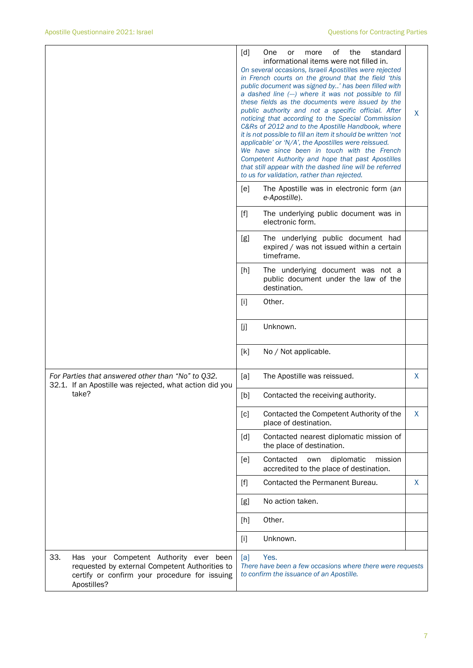|                                                                                                                                                                 | [d]<br>οf<br>the<br>standard<br>One<br>or<br>more<br>informational items were not filled in.<br>On several occasions, Israeli Apostilles were rejected<br>in French courts on the ground that the field 'this<br>public document was signed by' has been filled with<br>a dashed line (--) where it was not possible to fill<br>these fields as the documents were issued by the<br>public authority and not a specific official. After<br>noticing that according to the Special Commission<br>C&Rs of 2012 and to the Apostille Handbook, where<br>it is not possible to fill an item it should be written 'not<br>applicable' or 'N/A', the Apostilles were reissued.<br>We have since been in touch with the French<br>Competent Authority and hope that past Apostilles<br>that still appear with the dashed line will be referred<br>to us for validation, rather than rejected. | X. |
|-----------------------------------------------------------------------------------------------------------------------------------------------------------------|----------------------------------------------------------------------------------------------------------------------------------------------------------------------------------------------------------------------------------------------------------------------------------------------------------------------------------------------------------------------------------------------------------------------------------------------------------------------------------------------------------------------------------------------------------------------------------------------------------------------------------------------------------------------------------------------------------------------------------------------------------------------------------------------------------------------------------------------------------------------------------------|----|
|                                                                                                                                                                 | The Apostille was in electronic form (an<br>[e]<br>e-Apostille).                                                                                                                                                                                                                                                                                                                                                                                                                                                                                                                                                                                                                                                                                                                                                                                                                       |    |
|                                                                                                                                                                 | $[f]$<br>The underlying public document was in<br>electronic form.                                                                                                                                                                                                                                                                                                                                                                                                                                                                                                                                                                                                                                                                                                                                                                                                                     |    |
|                                                                                                                                                                 | [g]<br>The underlying public document had<br>expired / was not issued within a certain<br>timeframe.                                                                                                                                                                                                                                                                                                                                                                                                                                                                                                                                                                                                                                                                                                                                                                                   |    |
|                                                                                                                                                                 | [h]<br>The underlying document was not a<br>public document under the law of the<br>destination.                                                                                                                                                                                                                                                                                                                                                                                                                                                                                                                                                                                                                                                                                                                                                                                       |    |
|                                                                                                                                                                 | Other.<br>$[1]$                                                                                                                                                                                                                                                                                                                                                                                                                                                                                                                                                                                                                                                                                                                                                                                                                                                                        |    |
|                                                                                                                                                                 | Unknown.<br>[j]                                                                                                                                                                                                                                                                                                                                                                                                                                                                                                                                                                                                                                                                                                                                                                                                                                                                        |    |
|                                                                                                                                                                 | No / Not applicable.<br>[k]                                                                                                                                                                                                                                                                                                                                                                                                                                                                                                                                                                                                                                                                                                                                                                                                                                                            |    |
| For Parties that answered other than "No" to Q32.<br>32.1. If an Apostille was rejected, what action did you                                                    | [a]<br>The Apostille was reissued.                                                                                                                                                                                                                                                                                                                                                                                                                                                                                                                                                                                                                                                                                                                                                                                                                                                     | X. |
| take?                                                                                                                                                           | [b]<br>Contacted the receiving authority.                                                                                                                                                                                                                                                                                                                                                                                                                                                                                                                                                                                                                                                                                                                                                                                                                                              |    |
|                                                                                                                                                                 | Contacted the Competent Authority of the<br>$\lceil c \rceil$<br>place of destination.                                                                                                                                                                                                                                                                                                                                                                                                                                                                                                                                                                                                                                                                                                                                                                                                 | X  |
|                                                                                                                                                                 | [d]<br>Contacted nearest diplomatic mission of<br>the place of destination.                                                                                                                                                                                                                                                                                                                                                                                                                                                                                                                                                                                                                                                                                                                                                                                                            |    |
|                                                                                                                                                                 | Contacted<br>diplomatic<br>mission<br>[e]<br>own<br>accredited to the place of destination.                                                                                                                                                                                                                                                                                                                                                                                                                                                                                                                                                                                                                                                                                                                                                                                            |    |
|                                                                                                                                                                 | Contacted the Permanent Bureau.<br>[f]                                                                                                                                                                                                                                                                                                                                                                                                                                                                                                                                                                                                                                                                                                                                                                                                                                                 | X  |
|                                                                                                                                                                 | No action taken.<br>[g]                                                                                                                                                                                                                                                                                                                                                                                                                                                                                                                                                                                                                                                                                                                                                                                                                                                                |    |
|                                                                                                                                                                 | Other.<br>[h]                                                                                                                                                                                                                                                                                                                                                                                                                                                                                                                                                                                                                                                                                                                                                                                                                                                                          |    |
|                                                                                                                                                                 | Unknown.<br>$[1]$                                                                                                                                                                                                                                                                                                                                                                                                                                                                                                                                                                                                                                                                                                                                                                                                                                                                      |    |
| 33.<br>Has your Competent Authority ever been<br>requested by external Competent Authorities to<br>certify or confirm your procedure for issuing<br>Apostilles? | Yes.<br>[a]<br>There have been a few occasions where there were requests<br>to confirm the issuance of an Apostille.                                                                                                                                                                                                                                                                                                                                                                                                                                                                                                                                                                                                                                                                                                                                                                   |    |